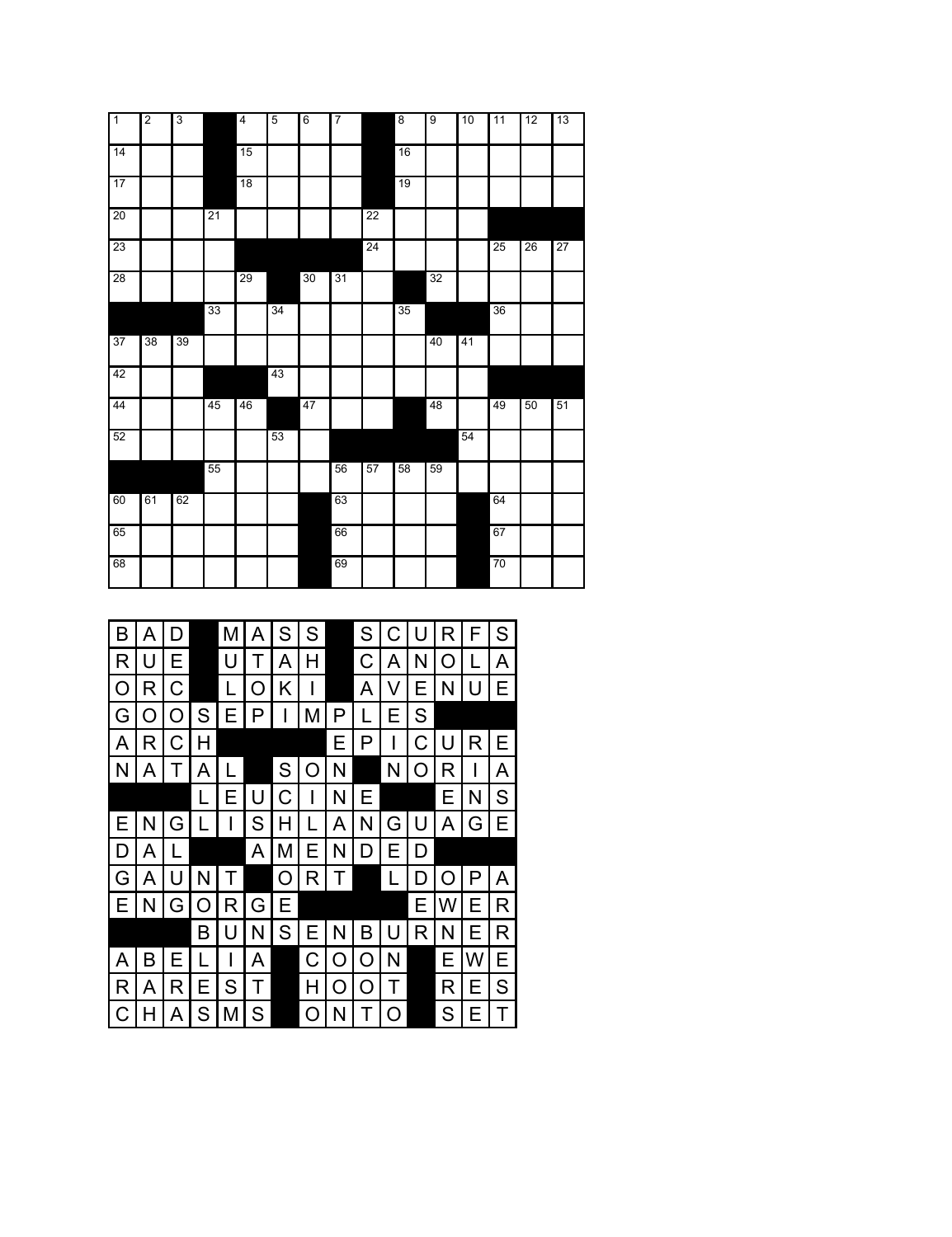| Īī | $\overline{2}$ | 3  |    | $\overline{4}$ | $\overline{5}$ | $6\overline{6}$ | $\overline{7}$ |                 | $\overline{8}$ | $\overline{9}$ | 10 | 11              | 12              | 13 |
|----|----------------|----|----|----------------|----------------|-----------------|----------------|-----------------|----------------|----------------|----|-----------------|-----------------|----|
| 14 |                |    |    | 15             |                |                 |                |                 | 16             |                |    |                 |                 |    |
|    |                |    |    |                |                |                 |                |                 |                |                |    |                 |                 |    |
| 17 |                |    |    | 18             |                |                 |                |                 | 19             |                |    |                 |                 |    |
| 20 |                |    | 21 |                |                |                 |                | $\overline{22}$ |                |                |    |                 |                 |    |
| 23 |                |    |    |                |                |                 |                | 24              |                |                |    | $\overline{25}$ | $\overline{26}$ | 27 |
| 28 |                |    |    | 29             |                | 30              | 31             |                 |                | 32             |    |                 |                 |    |
|    |                |    | 33 |                | 34             |                 |                |                 | 35             |                |    | 36              |                 |    |
| 37 | 38             | 39 |    |                |                |                 |                |                 |                | 40             | 41 |                 |                 |    |
| 42 |                |    |    |                | 43             |                 |                |                 |                |                |    |                 |                 |    |
| 44 |                |    | 45 | 46             |                | 47              |                |                 |                | 48             |    | 49              | 50              | 51 |
| 52 |                |    |    |                | 53             |                 |                |                 |                |                | 54 |                 |                 |    |
|    |                |    | 55 |                |                |                 | 56             | 57              | 58             | 59             |    |                 |                 |    |
| 60 | 61             | 62 |    |                |                |                 | 63             |                 |                |                |    | 64              |                 |    |
| 65 |                |    |    |                |                |                 | 66             |                 |                |                |    | 67              |                 |    |
| 68 |                |    |    |                |                |                 | 69             |                 |                |                |    | 70              |                 |    |

| B            | A            | D              |               | M            | A             | ${\mathsf S}$ | ${\mathsf S}$ |              | S              | C              | U            | $\mathsf{R}$ | F            | S              |
|--------------|--------------|----------------|---------------|--------------|---------------|---------------|---------------|--------------|----------------|----------------|--------------|--------------|--------------|----------------|
| $\mathsf{R}$ | U            | Е              |               | U            | Τ             | A             | H             |              | $\mathsf{C}$   | A              | N            | $\circ$      | L            | $\overline{A}$ |
| $\circ$      | $\mathsf{R}$ | $\mathsf C$    |               | L            | O             | Κ             |               |              | $\overline{A}$ | V              | Ε            | N            | U            | E              |
| G            | O            | $\bigcirc$     | ${\mathsf S}$ | Е            | P             |               | M             | $\mathsf{P}$ | ட              | Ε              | $\mathsf S$  |              |              |                |
| $\mathsf{A}$ | $\mathsf{R}$ | $\mathsf C$    | $\mathsf{H}$  |              |               |               |               | E            | P              |                | $\mathsf C$  | U            | R            | E              |
| $\mathsf{N}$ | A            | ᠇              | A             | L            |               | S             | O             | N            |                | N              | O            | $\mathsf{R}$ |              | $\overline{A}$ |
|              |              |                | L             | Е            | U             | $\mathsf C$   |               | N            | Ε              |                |              | Ε            | N            | ${\mathsf S}$  |
| E            | N            | G              |               |              | ${\mathsf S}$ | $\mathsf{H}$  | ∟             | Α            | N              | G              | U            | A            | G            | E              |
| D            | A            | L              |               |              | A             | M             | E             | N            | D              | Ε              | D            |              |              |                |
| G            | A            | U              | N             | Τ            |               | $\circ$       | R             | Τ            |                | ' L            | D            | O            | $\mathsf{P}$ | A              |
| E            | N            | G              | $\circ$       | $\mathsf{R}$ | G             | Ε             |               |              |                |                | E            | W            | E            | $\mathsf{R}$   |
|              |              |                | B             | U            | N             | S             | Е             | N            | B              | U              | $\mathsf{R}$ | N            | E            | $\mathsf{R}$   |
| A            | B            | Е              | ட             |              | A             |               | $\mathsf C$   | O            | $\circ$        | N              |              | Ε            | W            | $\mathsf E$    |
| R            | A            | $\mathsf{R}$   | Ε             | S            | Τ             |               | H             | $\circ$      | $\circ$        | Т              |              | $\mathsf{R}$ | E            | ${\mathsf S}$  |
| $\mathsf C$  | $\mathsf{H}$ | $\overline{A}$ | S             | M            | S             |               | $\circ$       | N            | Τ              | $\overline{O}$ |              | S            | Е            | $\mathsf T$    |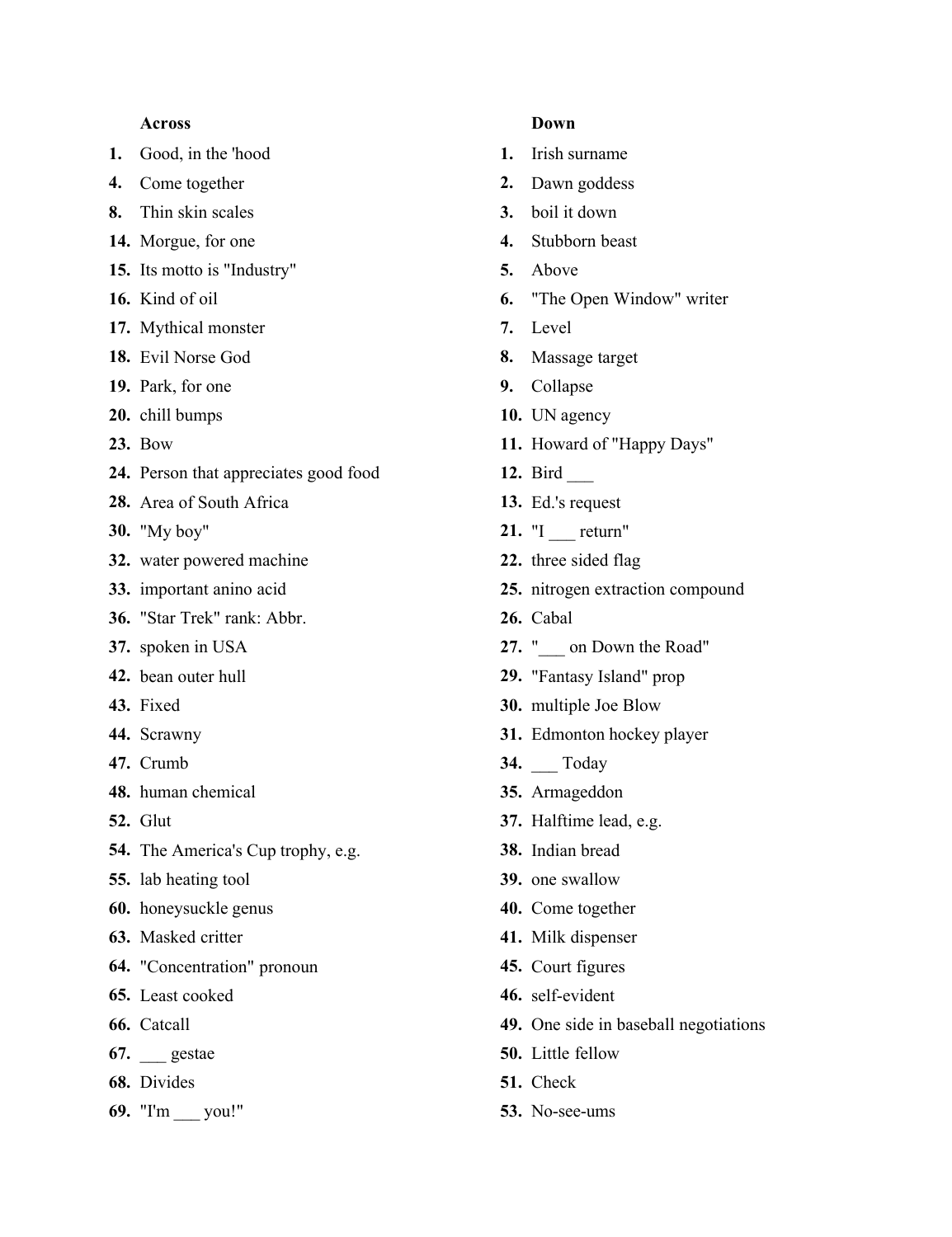## **Across**

- **1.** Good, in the 'hood
- **4.** Come together
- **8.** Thin skin scales
- **14.** Morgue, for one
- **15.** Its motto is "Industry"
- **16.** Kind of oil
- **17.** Mythical monster
- **18.** Evil Norse God
- **19.** Park, for one
- **20.** chill bumps
- **23.** Bow
- **24.** Person that appreciates good food
- **28.** Area of South Africa
- **30.** "My boy"
- **32.** water powered machine
- **33.** important anino acid
- **36.** "Star Trek" rank: Abbr.
- **37.** spoken in USA
- **42.** bean outer hull
- **43.** Fixed
- **44.** Scrawny
- **47.** Crumb
- **48.** human chemical
- **52.** Glut
- **54.** The America's Cup trophy, e.g.
- **55.** lab heating tool
- **60.** honeysuckle genus
- **63.** Masked critter
- **64.** "Concentration" pronoun
- **65.** Least cooked
- **66.** Catcall
- **67.** \_\_\_ gestae
- **68.** Divides
- **69.** "I'm \_\_\_ you!"

## **Down**

- **1.** Irish surname
- **2.** Dawn goddess
- **3.** boil it down
- **4.** Stubborn beast
- **5.** Above
- **6.** "The Open Window" writer
- **7.** Level
- **8.** Massage target
- **9.** Collapse
- **10.** UN agency
- **11.** Howard of "Happy Days"
- **12.** Bird \_\_\_
- **13.** Ed.'s request
- 21. "I return"
- **22.** three sided flag
- **25.** nitrogen extraction compound
- **26.** Cabal
- **27.** "\_\_\_ on Down the Road"
- **29.** "Fantasy Island" prop
- **30.** multiple Joe Blow
- **31.** Edmonton hockey player
- **34.** \_\_\_ Today
- **35.** Armageddon
- **37.** Halftime lead, e.g.
- **38.** Indian bread
- **39.** one swallow
- **40.** Come together
- **41.** Milk dispenser
- **45.** Court figures
- **46.** self-evident
- **49.** One side in baseball negotiations
- **50.** Little fellow
- **51.** Check
- **53.** No-see-ums